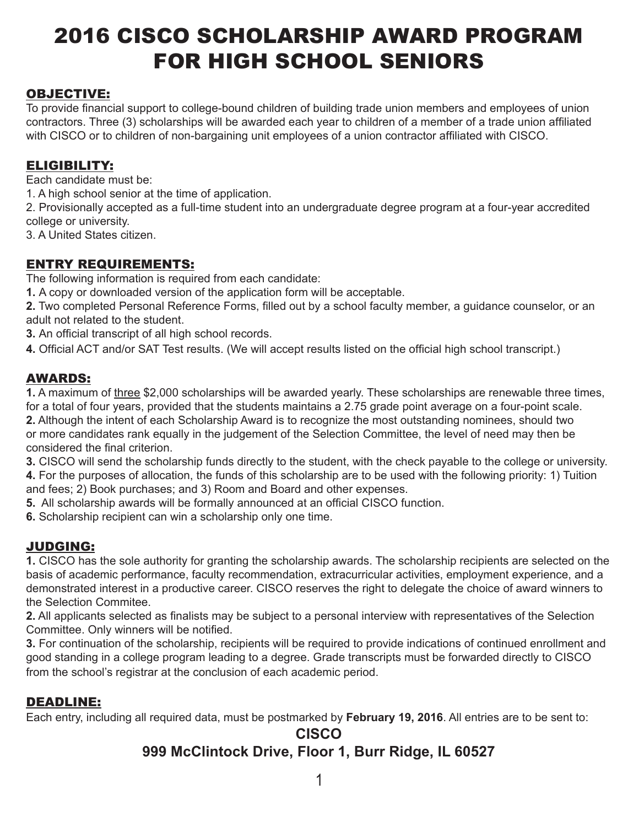# 2016 CISCO SCHOLARSHIP AWARD PROGRAM FOR HIGH SCHOOL SENIORS

## OBJECTIVE:

To provide financial support to college-bound children of building trade union members and employees of union contractors. Three (3) scholarships will be awarded each year to children of a member of a trade union affiliated with CISCO or to children of non-bargaining unit employees of a union contractor affiliated with CISCO.

## ELIGIBILITY:

Each candidate must be:

1. A high school senior at the time of application.

2. Provisionally accepted as a full-time student into an undergraduate degree program at a four-year accredited college or university.

3. A United States citizen.

### ENTRY REQUIREMENTS:

The following information is required from each candidate:

**1.** A copy or downloaded version of the application form will be acceptable.

**2.** Two completed Personal Reference Forms, filled out by a school faculty member, a guidance counselor, or an adult not related to the student.

**3.** An official transcript of all high school records.

**4.** Official ACT and/or SAT Test results. (We will accept results listed on the official high school transcript.)

### AWARDS:

**1.** A maximum of three \$2,000 scholarships will be awarded yearly. These scholarships are renewable three times, for a total of four years, provided that the students maintains a 2.75 grade point average on a four-point scale.

**2.** Although the intent of each Scholarship Award is to recognize the most outstanding nominees, should two or more candidates rank equally in the judgement of the Selection Committee, the level of need may then be considered the final criterion.

**3.** CISCO will send the scholarship funds directly to the student, with the check payable to the college or university.

**4.** For the purposes of allocation, the funds of this scholarship are to be used with the following priority: 1) Tuition and fees; 2) Book purchases; and 3) Room and Board and other expenses.

**5.** All scholarship awards will be formally announced at an official CISCO function.

**6.** Scholarship recipient can win a scholarship only one time.

## JUDGING:

**1.** CISCO has the sole authority for granting the scholarship awards. The scholarship recipients are selected on the basis of academic performance, faculty recommendation, extracurricular activities, employment experience, and a demonstrated interest in a productive career. CISCO reserves the right to delegate the choice of award winners to the Selection Commitee.

**2.** All applicants selected as finalists may be subject to a personal interview with representatives of the Selection Committee. Only winners will be notified.

**3.** For continuation of the scholarship, recipients will be required to provide indications of continued enrollment and good standing in a college program leading to a degree. Grade transcripts must be forwarded directly to CISCO from the school's registrar at the conclusion of each academic period.

### DEADLINE:

Each entry, including all required data, must be postmarked by **February 19, 2016**. All entries are to be sent to:

## **CISCO 999 McClintock Drive, Floor 1, Burr Ridge, IL 60527**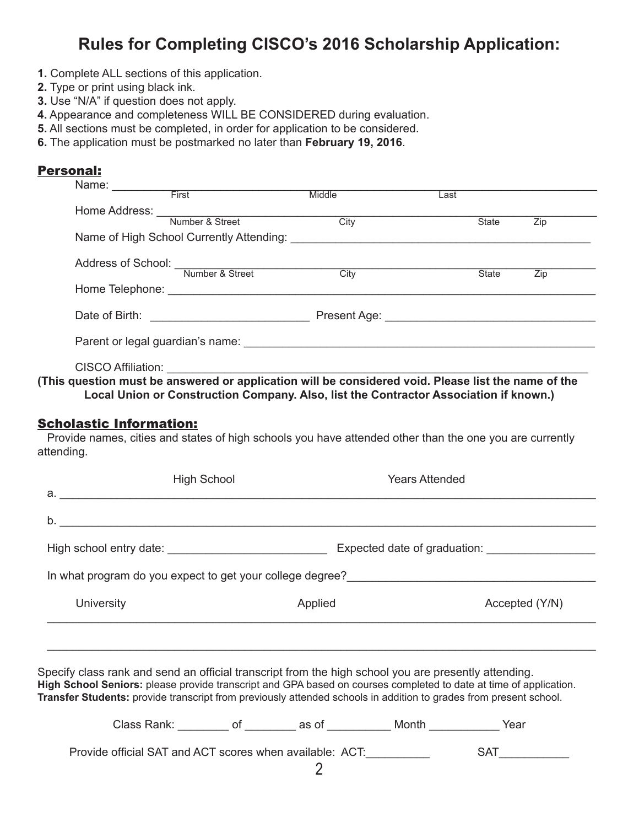## **Rules for Completing CISCO's 2016 Scholarship Application:**

- **1.** Complete ALL sections of this application.
- **2.** Type or print using black ink.
- **3.** Use "N/A" if question does not apply.
- **4.** Appearance and completeness WILL BE CONSIDERED during evaluation.
- **5.** All sections must be completed, in order for application to be considered.
- **6.** The application must be postmarked no later than **February 19, 2016**.

#### Personal:

| Name:                         | First                                                                                                                                                                                                                          | Middle            | Last |              |     |
|-------------------------------|--------------------------------------------------------------------------------------------------------------------------------------------------------------------------------------------------------------------------------|-------------------|------|--------------|-----|
|                               |                                                                                                                                                                                                                                |                   |      |              |     |
| Home Address: Wumber & Street |                                                                                                                                                                                                                                | City              |      | <b>State</b> | Zip |
|                               | Name of High School Currently Attending: Name of High School Currently Attending:                                                                                                                                              |                   |      |              |     |
| Address of School:            |                                                                                                                                                                                                                                |                   |      |              |     |
|                               | Number & Street                                                                                                                                                                                                                | $\overline{City}$ |      | State        | Zip |
|                               |                                                                                                                                                                                                                                |                   |      |              |     |
|                               |                                                                                                                                                                                                                                |                   |      |              |     |
|                               | Parent or legal guardian's name: example and all properties of the state of the state of the state of the state of the state of the state of the state of the state of the state of the state of the state of the state of the |                   |      |              |     |
| <b>CISCO Affiliation:</b>     |                                                                                                                                                                                                                                |                   |      |              |     |

**(This question must be answered or application will be considered void. Please list the name of the Local Union or Construction Company. Also, list the Contractor Association if known.)**

#### Scholastic Information:

 Provide names, cities and states of high schools you have attended other than the one you are currently attending.

| <b>High School</b> | <b>Years Attended</b> |                                                                                                                     |
|--------------------|-----------------------|---------------------------------------------------------------------------------------------------------------------|
|                    |                       |                                                                                                                     |
|                    |                       |                                                                                                                     |
|                    |                       |                                                                                                                     |
|                    |                       |                                                                                                                     |
|                    |                       | Accepted (Y/N)                                                                                                      |
|                    |                       |                                                                                                                     |
|                    |                       |                                                                                                                     |
|                    |                       | Expected date of graduation: ______________<br>In what program do you expect to get your college degree?<br>Applied |

Specify class rank and send an official transcript from the high school you are presently attending. **High School Seniors:** please provide transcript and GPA based on courses completed to date at time of application. **Transfer Students:** provide transcript from previously attended schools in addition to grades from present school.

| Class Rank:                                              | as ot | Month | Year       |  |
|----------------------------------------------------------|-------|-------|------------|--|
| Provide official SAT and ACT scores when available: ACT: |       |       | <b>SAT</b> |  |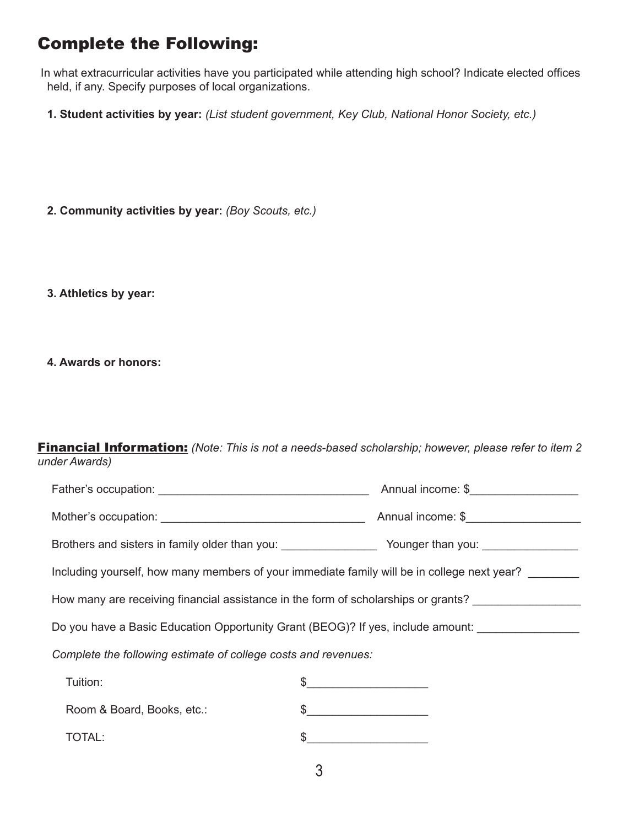## Complete the Following:

 In what extracurricular activities have you participated while attending high school? Indicate elected offices held, if any. Specify purposes of local organizations.

- **1. Student activities by year:** *(List student government, Key Club, National Honor Society, etc.)*
- **2. Community activities by year:** *(Boy Scouts, etc.)*
- **3. Athletics by year:**
- **4. Awards or honors:**

| <b>Financial Information:</b> (Note: This is not a needs-based scholarship; however, please refer to item 2 |  |  |  |  |  |
|-------------------------------------------------------------------------------------------------------------|--|--|--|--|--|
| under Awards)                                                                                               |  |  |  |  |  |

|                                                                                                     | Annual income: \$                                                                                                                                                                                                                                                                                                                                                   |  |  |  |
|-----------------------------------------------------------------------------------------------------|---------------------------------------------------------------------------------------------------------------------------------------------------------------------------------------------------------------------------------------------------------------------------------------------------------------------------------------------------------------------|--|--|--|
|                                                                                                     | Annual income: \$                                                                                                                                                                                                                                                                                                                                                   |  |  |  |
|                                                                                                     |                                                                                                                                                                                                                                                                                                                                                                     |  |  |  |
| Including yourself, how many members of your immediate family will be in college next year?         |                                                                                                                                                                                                                                                                                                                                                                     |  |  |  |
| How many are receiving financial assistance in the form of scholarships or grants?                  |                                                                                                                                                                                                                                                                                                                                                                     |  |  |  |
| Do you have a Basic Education Opportunity Grant (BEOG)? If yes, include amount: ___________________ |                                                                                                                                                                                                                                                                                                                                                                     |  |  |  |
| Complete the following estimate of college costs and revenues:                                      |                                                                                                                                                                                                                                                                                                                                                                     |  |  |  |
| Tuition:                                                                                            | $\begin{picture}(20,10) \put(0,0){\vector(1,0){100}} \put(15,0){\vector(1,0){100}} \put(15,0){\vector(1,0){100}} \put(15,0){\vector(1,0){100}} \put(15,0){\vector(1,0){100}} \put(15,0){\vector(1,0){100}} \put(15,0){\vector(1,0){100}} \put(15,0){\vector(1,0){100}} \put(15,0){\vector(1,0){100}} \put(15,0){\vector(1,0){100}} \put(15,0){\vector(1,0){100}} \$ |  |  |  |
| Room & Board, Books, etc.:                                                                          | $\frac{1}{2}$                                                                                                                                                                                                                                                                                                                                                       |  |  |  |
| TOTAL:                                                                                              | <u> 1980 - John Barn Barn, amerikansk politiker</u>                                                                                                                                                                                                                                                                                                                 |  |  |  |
|                                                                                                     |                                                                                                                                                                                                                                                                                                                                                                     |  |  |  |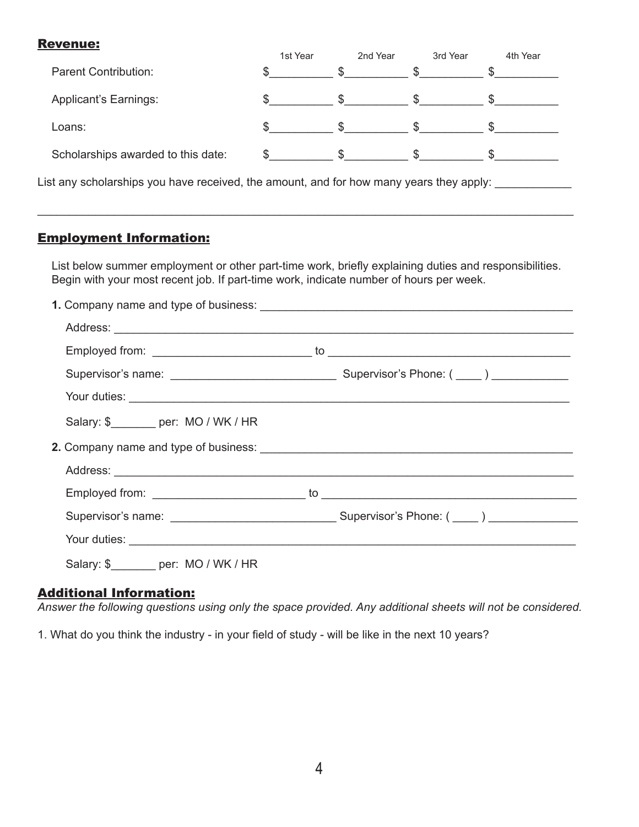#### Revenue:

|                                                                                         | 1st Year                    | 2nd Year     | 3rd Year                      | 4th Year |  |
|-----------------------------------------------------------------------------------------|-----------------------------|--------------|-------------------------------|----------|--|
| <b>Parent Contribution:</b>                                                             |                             | $\mathbb{S}$ | S.                            |          |  |
| Applicant's Earnings:                                                                   |                             | $\mathbb{S}$ | $\mathbb{S}$ and $\mathbb{S}$ |          |  |
| Loans:                                                                                  |                             | $\mathbb{S}$ | S.                            |          |  |
| Scholarships awarded to this date:                                                      | $\mathfrak s$ $\mathfrak s$ |              | $\frac{1}{2}$                 |          |  |
| List any scholarships you have received, the amount, and for how many years they apply: |                             |              |                               |          |  |
|                                                                                         |                             |              |                               |          |  |

## Employment Information:

List below summer employment or other part-time work, briefly explaining duties and responsibilities. Begin with your most recent job. If part-time work, indicate number of hours per week.

\_\_\_\_\_\_\_\_\_\_\_\_\_\_\_\_\_\_\_\_\_\_\_\_\_\_\_\_\_\_\_\_\_\_\_\_\_\_\_\_\_\_\_\_\_\_\_\_\_\_\_\_\_\_\_\_\_\_\_\_\_\_\_\_\_\_\_\_\_\_\_\_\_\_\_\_\_\_\_\_\_\_\_\_

| Salary: \$________ per: MO / WK / HR                                                                                                                                                                                          |  |
|-------------------------------------------------------------------------------------------------------------------------------------------------------------------------------------------------------------------------------|--|
|                                                                                                                                                                                                                               |  |
|                                                                                                                                                                                                                               |  |
|                                                                                                                                                                                                                               |  |
|                                                                                                                                                                                                                               |  |
| Your duties: Not all the second contract the second contract of the second contract of the second contract of the second contract of the second contract of the second contract of the second contract of the second contract |  |
| Salary: \$________ per: MO / WK / HR                                                                                                                                                                                          |  |

### Additional Information:

*Answer the following questions using only the space provided. Any additional sheets will not be considered.*

1. What do you think the industry - in your field of study - will be like in the next 10 years?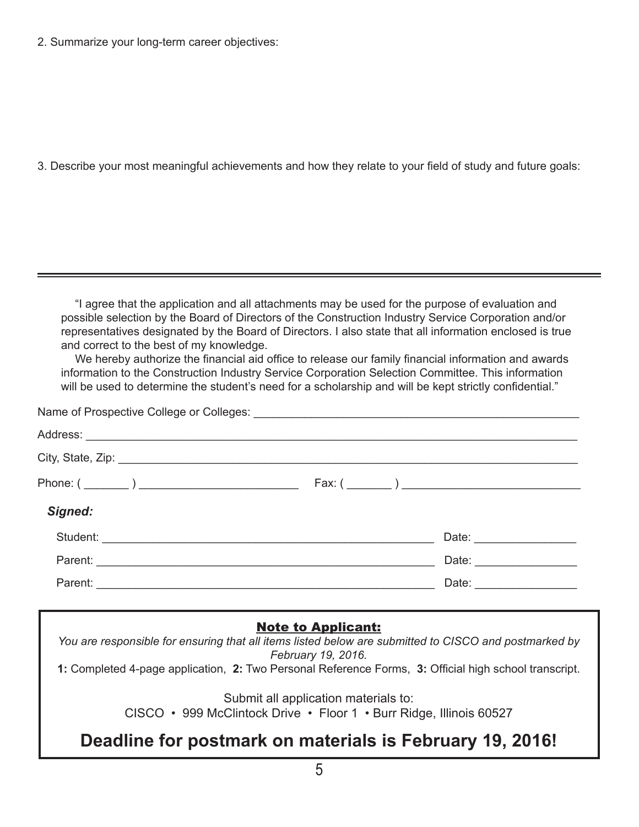2. Summarize your long-term career objectives:

3. Describe your most meaningful achievements and how they relate to your field of study and future goals:

"I agree that the application and all attachments may be used for the purpose of evaluation and possible selection by the Board of Directors of the Construction Industry Service Corporation and/or representatives designated by the Board of Directors. I also state that all information enclosed is true and correct to the best of my knowledge.

We hereby authorize the financial aid office to release our family financial information and awards information to the Construction Industry Service Corporation Selection Committee. This information will be used to determine the student's need for a scholarship and will be kept strictly confidential."

|                                       | Fax: ( |
|---------------------------------------|--------|
| Signed:                               |        |
|                                       |        |
|                                       |        |
| Parent: <u>Contract Communication</u> |        |

### Note to Applicant:

*You are responsible for ensuring that all items listed below are submitted to CISCO and postmarked by February 19, 2016.*

**1:** Completed 4-page application, **2:** Two Personal Reference Forms, **3:** Official high school transcript.

Submit all application materials to:

CISCO • 999 McClintock Drive • Floor 1 • Burr Ridge, Illinois 60527

## **Deadline for postmark on materials is February 19, 2016!**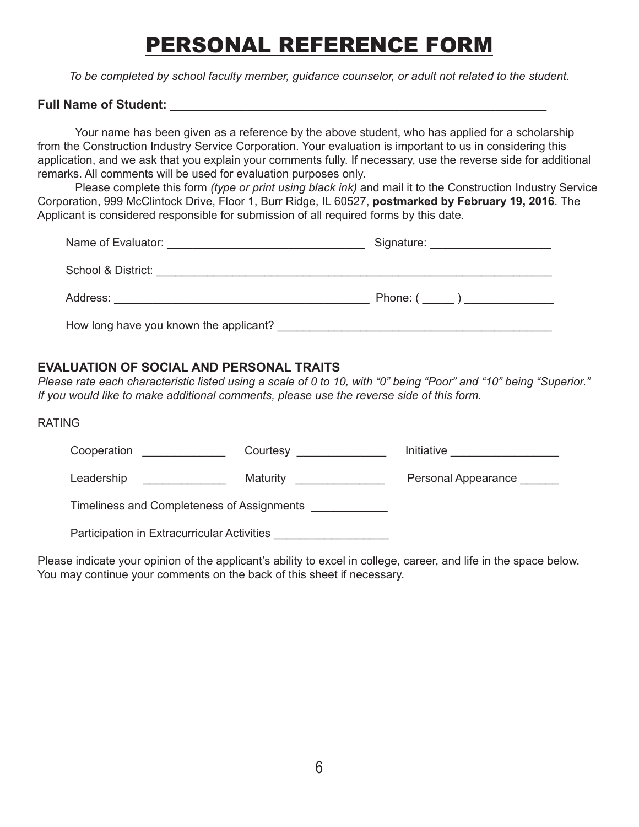# PERSONAL REFERENCE FORM

*To be completed by school faculty member, guidance counselor, or adult not related to the student.*

#### **Full Name of Student: Example 20 and 20 and 20 and 20 and 20 and 20 and 20 and 20 and 20 and 20 and 20 and 20 and 20 and 20 and 20 and 20 and 20 and 20 and 20 and 20 and 20 and 20 and 20 and 20 and 20 and 20 and 20 and**

Your name has been given as a reference by the above student, who has applied for a scholarship from the Construction Industry Service Corporation. Your evaluation is important to us in considering this application, and we ask that you explain your comments fully. If necessary, use the reverse side for additional remarks. All comments will be used for evaluation purposes only.

Please complete this form *(type or print using black ink)* and mail it to the Construction Industry Service Corporation, 999 McClintock Drive, Floor 1, Burr Ridge, IL 60527, **postmarked by February 19, 2016**. The Applicant is considered responsible for submission of all required forms by this date.

| Name of Evaluator:<br><u> 1989 - Johann Harry Harry Harry Harry Harry Harry Harry Harry Harry Harry Harry Harry Harry Harry Harry Harry Harry Harry Harry Harry Harry Harry Harry Harry Harry Harry Harry Harry Harry Harry Harry Harry Harry Harry Ha</u> | Signature: <u>______________________</u> |
|------------------------------------------------------------------------------------------------------------------------------------------------------------------------------------------------------------------------------------------------------------|------------------------------------------|
| School & District: Executive School & District:                                                                                                                                                                                                            |                                          |
| Address: Analysis and the contract of the contract of the contract of the contract of the contract of the contract of the contract of the contract of the contract of the contract of the contract of the contract of the cont                             | Phone: ( _____ ) _______________         |
| How long have you known the applicant?                                                                                                                                                                                                                     |                                          |

#### **EVALUATION OF SOCIAL AND PERSONAL TRAITS**

*Please rate each characteristic listed using a scale of 0 to 10, with "0" being "Poor" and "10" being "Superior." If you would like to make additional comments, please use the reverse side of this form.*

#### RATING

| Cooperation<br><u> 1980 - Jan James James</u>                                                                                      | Courtesy _______________  | Initiative <u>__________________</u> |  |  |  |
|------------------------------------------------------------------------------------------------------------------------------------|---------------------------|--------------------------------------|--|--|--|
| Leadership<br><u> 1980 - Jan Stein Stein Stein Stein Stein Stein Stein Stein Stein Stein Stein Stein Stein Stein Stein Stein S</u> | Maturity ________________ | Personal Appearance                  |  |  |  |
| Timeliness and Completeness of Assignments                                                                                         |                           |                                      |  |  |  |
| Participation in Extracurricular Activities                                                                                        |                           |                                      |  |  |  |
|                                                                                                                                    |                           |                                      |  |  |  |

Please indicate your opinion of the applicant's ability to excel in college, career, and life in the space below. You may continue your comments on the back of this sheet if necessary.